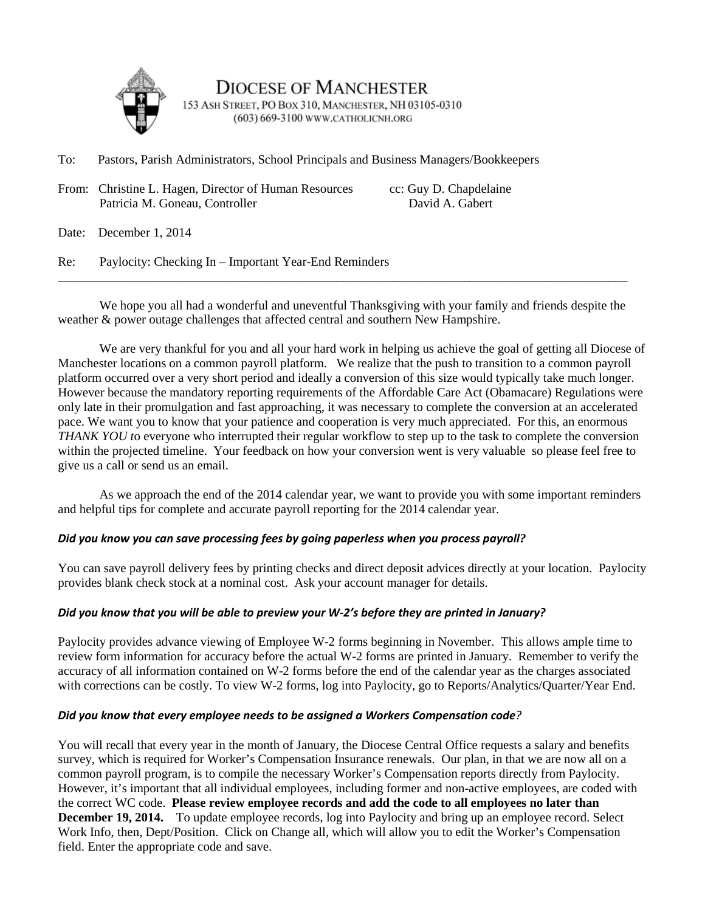

**DIOCESE OF MANCHESTER** 153 ASH STREET, PO BOX 310, MANCHESTER, NH 03105-0310 (603) 669-3100 www.CATHOLICNH.ORG

To: Pastors, Parish Administrators, School Principals and Business Managers/Bookkeepers

From: Christine L. Hagen, Director of Human Resources cc: Guy D. Chapdelaine<br>Patricia M. Goneau. Controller David A. Gabert Patricia M. Goneau, Controller

Date: December 1, 2014

Re: Paylocity: Checking In – Important Year-End Reminders

We hope you all had a wonderful and uneventful Thanksgiving with your family and friends despite the weather & power outage challenges that affected central and southern New Hampshire.

\_\_\_\_\_\_\_\_\_\_\_\_\_\_\_\_\_\_\_\_\_\_\_\_\_\_\_\_\_\_\_\_\_\_\_\_\_\_\_\_\_\_\_\_\_\_\_\_\_\_\_\_\_\_\_\_\_\_\_\_\_\_\_\_\_\_\_\_\_\_\_\_\_\_\_\_\_\_\_\_\_\_\_\_\_\_\_\_\_\_

We are very thankful for you and all your hard work in helping us achieve the goal of getting all Diocese of Manchester locations on a common payroll platform. We realize that the push to transition to a common payroll platform occurred over a very short period and ideally a conversion of this size would typically take much longer. However because the mandatory reporting requirements of the Affordable Care Act (Obamacare) Regulations were only late in their promulgation and fast approaching, it was necessary to complete the conversion at an accelerated pace. We want you to know that your patience and cooperation is very much appreciated. For this, an enormous *THANK YOU t*o everyone who interrupted their regular workflow to step up to the task to complete the conversion within the projected timeline. Your feedback on how your conversion went is very valuable so please feel free to give us a call or send us an email.

As we approach the end of the 2014 calendar year, we want to provide you with some important reminders and helpful tips for complete and accurate payroll reporting for the 2014 calendar year.

# *Did you know you can save processing fees by going paperless when you process payroll?*

You can save payroll delivery fees by printing checks and direct deposit advices directly at your location. Paylocity provides blank check stock at a nominal cost. Ask your account manager for details.

# *Did you know that you will be able to preview your W-2's before they are printed in January?*

Paylocity provides advance viewing of Employee W-2 forms beginning in November. This allows ample time to review form information for accuracy before the actual W-2 forms are printed in January. Remember to verify the accuracy of all information contained on W-2 forms before the end of the calendar year as the charges associated with corrections can be costly. To view W-2 forms, log into Paylocity, go to Reports/Analytics/Quarter/Year End.

# *Did you know that every employee needs to be assigned a Workers Compensation code?*

You will recall that every year in the month of January, the Diocese Central Office requests a salary and benefits survey, which is required for Worker's Compensation Insurance renewals. Our plan, in that we are now all on a common payroll program, is to compile the necessary Worker's Compensation reports directly from Paylocity. However, it's important that all individual employees, including former and non-active employees, are coded with the correct WC code. **Please review employee records and add the code to all employees no later than December 19, 2014.** To update employee records, log into Paylocity and bring up an employee record. Select Work Info, then, Dept/Position. Click on Change all, which will allow you to edit the Worker's Compensation field. Enter the appropriate code and save.